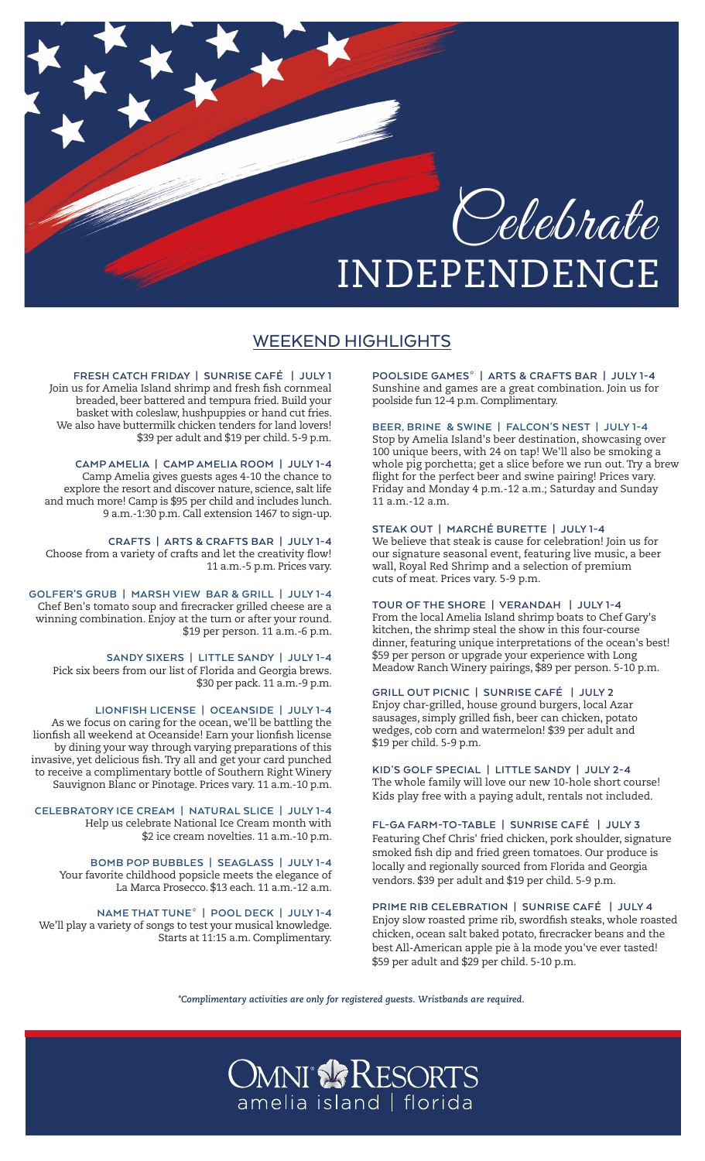

INDEPENDENCE

# WEEKEND HIGHLIGHTS

### **FRESH CATCH FRIDAY | SUNRISE CAFÉ | JULY 1**

Join us for Amelia Island shrimp and fresh fish cornmeal breaded, beer battered and tempura fried. Build your basket with coleslaw, hushpuppies or hand cut fries. We also have buttermilk chicken tenders for land lovers! \$39 per adult and \$19 per child. 5-9 p.m.

#### **CAMP AMELIA | CAMP AMELIA ROOM | JULY 1-4**

Camp Amelia gives guests ages 4-10 the chance to explore the resort and discover nature, science, salt life and much more! Camp is \$95 per child and includes lunch. 9 a.m.-1:30 p.m. Call extension 1467 to sign-up.

### **CRAFTS | ARTS & CRAFTS BAR | JULY 1-4**

Choose from a variety of crafts and let the creativity flow! 11 a.m.-5 p.m. Prices vary.

# **GOLFER'S GRUB | MARSH VIEW BAR & GRILL | JULY 1-4**

Chef Ben's tomato soup and firecracker grilled cheese are a winning combination. Enjoy at the turn or after your round. \$19 per person. 11 a.m.-6 p.m.

### **SANDY SIXERS | LITTLE SANDY | JULY 1-4**

Pick six beers from our list of Florida and Georgia brews. \$30 per pack. 11 a.m.-9 p.m.

# **LIONFISH LICENSE | OCEANSIDE | JULY 1-4**

As we focus on caring for the ocean, we'll be battling the lionfish all weekend at Oceanside! Earn your lionfish license by dining your way through varying preparations of this invasive, yet delicious fish. Try all and get your card punched to receive a complimentary bottle of Southern Right Winery Sauvignon Blanc or Pinotage. Prices vary. 11 a.m.-10 p.m.

#### **CELEBRATORY ICE CREAM | NATURAL SLICE | JULY 1-4** Help us celebrate National Ice Cream month with

\$2 ice cream novelties. 11 a.m.-10 p.m.

**BOMB POP BUBBLES | SEAGLASS | JULY 1-4** Your favorite childhood popsicle meets the elegance of

La Marca Prosecco. \$13 each. 11 a.m.-12 a.m.

# **NAME THAT TUNE\* | POOL DECK | JULY 1-4**

We'll play a variety of songs to test your musical knowledge. Starts at 11:15 a.m. Complimentary. **POOLSIDE GAMES\* | ARTS & CRAFTS BAR | JULY 1-4** Sunshine and games are a great combination. Join us for poolside fun 12-4 p.m. Complimentary.

### **BEER, BRINE & SWINE | FALCON'S NEST | JULY 1-4**

Stop by Amelia Island's beer destination, showcasing over 100 unique beers, with 24 on tap! We'll also be smoking a whole pig porchetta; get a slice before we run out. Try a brew flight for the perfect beer and swine pairing! Prices vary. Friday and Monday 4 p.m.-12 a.m.; Saturday and Sunday 11 a.m.-12 a.m.

#### **STEAK OUT | MARCHÉ BURETTE | JULY 1-4**

We believe that steak is cause for celebration! Join us for our signature seasonal event, featuring live music, a beer wall, Royal Red Shrimp and a selection of premium cuts of meat. Prices vary. 5-9 p.m.

#### **TOUR OF THE SHORE | VERANDAH | JULY 1-4**

From the local Amelia Island shrimp boats to Chef Gary's kitchen, the shrimp steal the show in this four-course dinner, featuring unique interpretations of the ocean's best! \$59 per person or upgrade your experience with Long Meadow Ranch Winery pairings, \$89 per person. 5-10 p.m.

### **GRILL OUT PICNIC | SUNRISE CAFÉ | JULY 2**

Enjoy char-grilled, house ground burgers, local Azar sausages, simply grilled fish, beer can chicken, potato wedges, cob corn and watermelon! \$39 per adult and \$19 per child. 5-9 p.m.

### **KID'S GOLF SPECIAL | LITTLE SANDY | JULY 2-4**

The whole family will love our new 10-hole short course! Kids play free with a paying adult, rentals not included.

### **FL-GA FARM-TO-TABLE | SUNRISE CAFÉ | JULY 3**

Featuring Chef Chris' fried chicken, pork shoulder, signature smoked fish dip and fried green tomatoes. Our produce is locally and regionally sourced from Florida and Georgia vendors. \$39 per adult and \$19 per child. 5-9 p.m.

# **PRIME RIB CELEBRATION | SUNRISE CAFÉ | JULY 4**

Enjoy slow roasted prime rib, swordfish steaks, whole roasted chicken, ocean salt baked potato, firecracker beans and the best All-American apple pie à la mode you've ever tasted! \$59 per adult and \$29 per child. 5-10 p.m.

*\*Complimentary activities are only for registered guests. Wristbands are required.*

# **OMNI & RESORTS** amelia island | florida